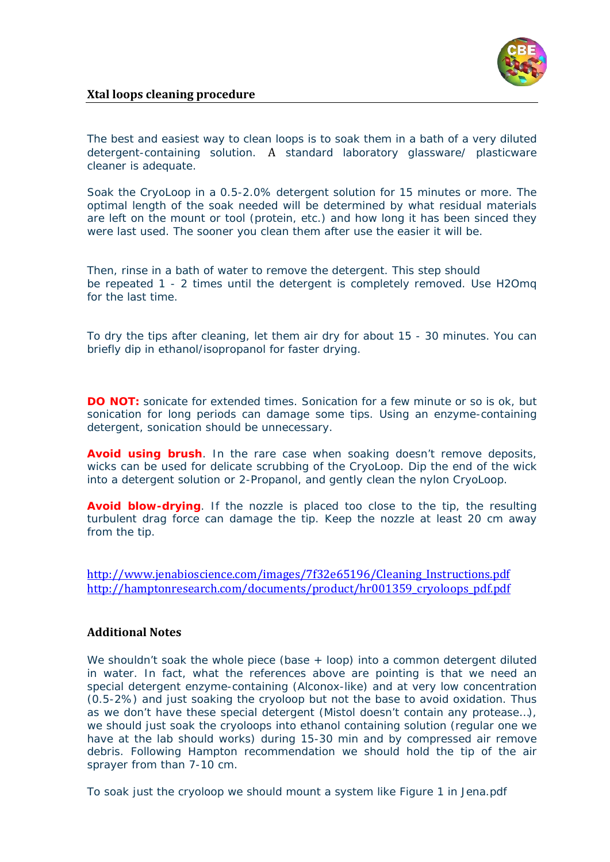

## **Xtal loops cleaning procedure**

The best and easiest way to clean loops is to soak them in a bath of a very diluted detergent-containing solution. A standard laboratory glassware/ plasticware cleaner is adequate.

Soak the CryoLoop in a 0.5-2.0% detergent solution for 15 minutes or more. The optimal length of the soak needed will be determined by what residual materials are left on the mount or tool (protein, etc.) and how long it has been sinced they were last used. The sooner you clean them after use the easier it will be.

Then, rinse in a bath of water to remove the detergent. This step should be repeated 1 - 2 times until the detergent is completely removed. Use H2Omq for the last time.

To dry the tips after cleaning, let them air dry for about 15 - 30 minutes. You can briefly dip in ethanol/isopropanol for faster drying.

**DO NOT:** sonicate for extended times. Sonication for a few minute or so is ok, but sonication for long periods can damage some tips. Using an enzyme-containing detergent, sonication should be unnecessary.

**Avoid using brush**. In the rare case when soaking doesn't remove deposits, wicks can be used for delicate scrubbing of the CryoLoop. Dip the end of the wick into a detergent solution or 2-Propanol, and gently clean the nylon CryoLoop.

**Avoid blow-drying**. If the nozzle is placed too close to the tip, the resulting turbulent drag force can damage the tip. Keep the nozzle at least 20 cm away from the tip.

[http://www.jenabioscience.com/images/7f32e65196/Cleaning\\_Instructions.pdf](http://www.jenabioscience.com/images/7f32e65196/Cleaning_Instructions.pdf) [http://hamptonresearch.com/documents/product/hr001359\\_cryoloops\\_pdf.pdf](http://hamptonresearch.com/documents/product/hr001359_cryoloops_pdf.pdf)

## **Additional Notes**

We shouldn't soak the whole piece (base + loop) into a common detergent diluted in water. In fact, what the references above are pointing is that we need an special detergent enzyme-containing (Alconox-like) and at very low concentration (0.5-2%) and just soaking the cryoloop but not the base to avoid oxidation. Thus as we don't have these special detergent (Mistol doesn't contain any protease…), we should just soak the cryoloops into ethanol containing solution (regular one we have at the lab should works) during 15-30 min and by compressed air remove debris. Following Hampton recommendation we should hold the tip of the air sprayer from than 7-10 cm.

To soak just the cryoloop we should mount a system like Figure 1 in Jena.pdf